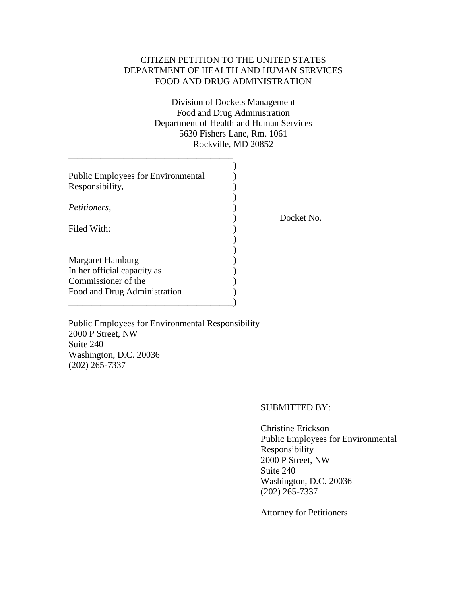# CITIZEN PETITION TO THE UNITED STATES DEPARTMENT OF HEALTH AND HUMAN SERVICES FOOD AND DRUG ADMINISTRATION

Division of Dockets Management Food and Drug Administration Department of Health and Human Services 5630 Fishers Lane, Rm. 1061 Rockville, MD 20852

| <b>Public Employees for Environmental</b><br>Responsibility, |            |
|--------------------------------------------------------------|------------|
| <i>Petitioners,</i>                                          | Docket No. |
| Filed With:                                                  |            |
|                                                              |            |
| Margaret Hamburg                                             |            |
| In her official capacity as                                  |            |
| Commissioner of the                                          |            |
| Food and Drug Administration                                 |            |
|                                                              |            |

Public Employees for Environmental Responsibility 2000 P Street, NW Suite 240 Washington, D.C. 20036 (202) 265-7337

\_\_\_\_\_\_\_\_\_\_\_\_\_\_\_\_\_\_\_\_\_\_\_\_\_\_\_\_\_\_\_\_\_\_\_\_

## SUBMITTED BY:

Christine Erickson Public Employees for Environmental Responsibility 2000 P Street, NW Suite 240 Washington, D.C. 20036 (202) 265-7337

Attorney for Petitioners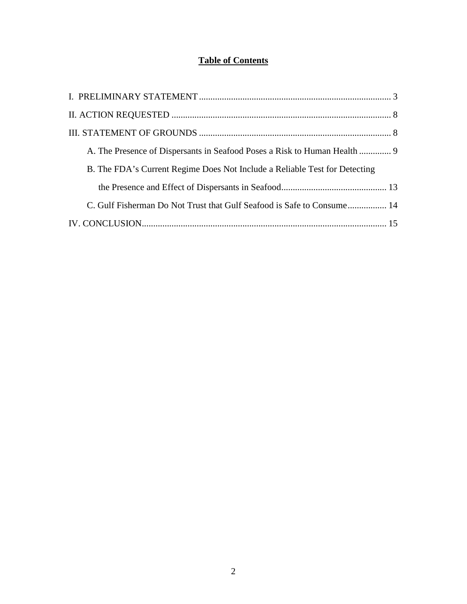# **Table of Contents**

| B. The FDA's Current Regime Does Not Include a Reliable Test for Detecting |  |
|----------------------------------------------------------------------------|--|
|                                                                            |  |
| C. Gulf Fisherman Do Not Trust that Gulf Seafood is Safe to Consume 14     |  |
|                                                                            |  |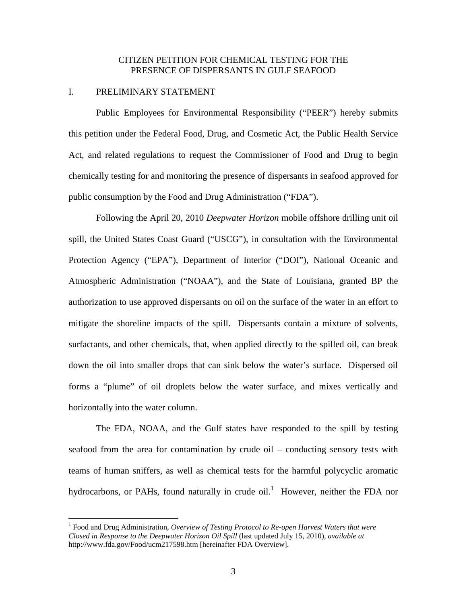# CITIZEN PETITION FOR CHEMICAL TESTING FOR THE PRESENCE OF DISPERSANTS IN GULF SEAFOOD

## I. PRELIMINARY STATEMENT

Public Employees for Environmental Responsibility ("PEER") hereby submits this petition under the Federal Food, Drug, and Cosmetic Act, the Public Health Service Act, and related regulations to request the Commissioner of Food and Drug to begin chemically testing for and monitoring the presence of dispersants in seafood approved for public consumption by the Food and Drug Administration ("FDA").

Following the April 20, 2010 *Deepwater Horizon* mobile offshore drilling unit oil spill, the United States Coast Guard ("USCG"), in consultation with the Environmental Protection Agency ("EPA"), Department of Interior ("DOI"), National Oceanic and Atmospheric Administration ("NOAA"), and the State of Louisiana, granted BP the authorization to use approved dispersants on oil on the surface of the water in an effort to mitigate the shoreline impacts of the spill. Dispersants contain a mixture of solvents, surfactants, and other chemicals, that, when applied directly to the spilled oil, can break down the oil into smaller drops that can sink below the water's surface. Dispersed oil forms a "plume" of oil droplets below the water surface, and mixes vertically and horizontally into the water column.

The FDA, NOAA, and the Gulf states have responded to the spill by testing seafood from the area for contamination by crude oil – conducting sensory tests with teams of human sniffers, as well as chemical tests for the harmful polycyclic aromatic hydrocarbons, or PAHs, found naturally in crude oil.<sup>1</sup> However, neither the FDA nor

<sup>&</sup>lt;sup>1</sup> Food and Drug Administration, *Overview of Testing Protocol to Re-open Harvest Waters that were Closed in Response to the Deepwater Horizon Oil Spill* (last updated July 15, 2010), *available at*  http://www.fda.gov/Food/ucm217598.htm [hereinafter FDA Overview].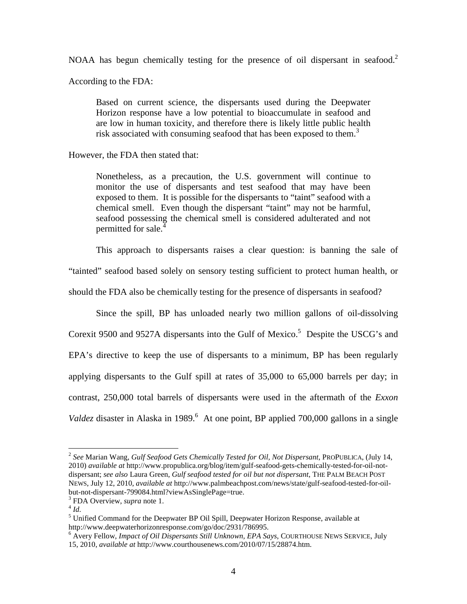NOAA has begun chemically testing for the presence of oil dispersant in seafood.<sup>2</sup>

According to the FDA:

Based on current science, the dispersants used during the Deepwater Horizon response have a low potential to bioaccumulate in seafood and are low in human toxicity, and therefore there is likely little public health risk associated with consuming seafood that has been exposed to them.<sup>3</sup>

However, the FDA then stated that:

Nonetheless, as a precaution, the U.S. government will continue to monitor the use of dispersants and test seafood that may have been exposed to them. It is possible for the dispersants to "taint" seafood with a chemical smell. Even though the dispersant "taint" may not be harmful, seafood possessing the chemical smell is considered adulterated and not permitted for sale.<sup>4</sup>

This approach to dispersants raises a clear question: is banning the sale of

"tainted" seafood based solely on sensory testing sufficient to protect human health, or

should the FDA also be chemically testing for the presence of dispersants in seafood?

Since the spill, BP has unloaded nearly two million gallons of oil-dissolving Corexit 9500 and 9527A dispersants into the Gulf of Mexico.<sup>5</sup> Despite the USCG's and EPA's directive to keep the use of dispersants to a minimum, BP has been regularly applying dispersants to the Gulf spill at rates of 35,000 to 65,000 barrels per day; in contrast, 250,000 total barrels of dispersants were used in the aftermath of the *Exxon*  Valdez disaster in Alaska in 1989.<sup>6</sup> At one point, BP applied 700,000 gallons in a single

<sup>2</sup> *See* Marian Wang, *Gulf Seafood Gets Chemically Tested for Oil, Not Dispersant*, PROPUBLICA, (July 14, 2010) *available at* http://www.propublica.org/blog/item/gulf-seafood-gets-chemically-tested-for-oil-notdispersant; *see also* Laura Green, *Gulf seafood tested for oil but not dispersant*, THE PALM BEACH POST NEWS, July 12, 2010, *available at* http://www.palmbeachpost.com/news/state/gulf-seafood-tested-for-oilbut-not-dispersant-799084.html?viewAsSinglePage=true.

<sup>3</sup> FDA Overview, *supra* note 1.

<sup>4</sup> *Id.* 

<sup>&</sup>lt;sup>5</sup> Unified Command for the Deepwater BP Oil Spill, Deepwater Horizon Response, available at http://www.deepwaterhorizonresponse.com/go/doc/2931/786995.

<sup>6</sup> Avery Fellow, *Impact of Oil Dispersants Still Unknown, EPA Says*, COURTHOUSE NEWS SERVICE, July 15, 2010, *available at* http://www.courthousenews.com/2010/07/15/28874.htm.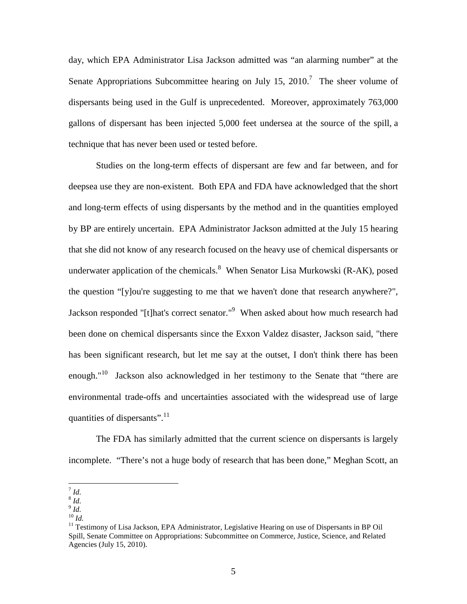day, which EPA Administrator Lisa Jackson admitted was "an alarming number" at the Senate Appropriations Subcommittee hearing on July 15, 2010.<sup>7</sup> The sheer volume of dispersants being used in the Gulf is unprecedented. Moreover, approximately 763,000 gallons of dispersant has been injected 5,000 feet undersea at the source of the spill, a technique that has never been used or tested before.

Studies on the long-term effects of dispersant are few and far between, and for deepsea use they are non-existent. Both EPA and FDA have acknowledged that the short and long-term effects of using dispersants by the method and in the quantities employed by BP are entirely uncertain. EPA Administrator Jackson admitted at the July 15 hearing that she did not know of any research focused on the heavy use of chemical dispersants or underwater application of the chemicals. When Senator Lisa Murkowski (R-AK), posed the question "[y]ou're suggesting to me that we haven't done that research anywhere?", Jackson responded "[t]hat's correct senator."<sup>9</sup> When asked about how much research had been done on chemical dispersants since the Exxon Valdez disaster, Jackson said, "there has been significant research, but let me say at the outset, I don't think there has been enough."<sup>10</sup> Jackson also acknowledged in her testimony to the Senate that "there are environmental trade-offs and uncertainties associated with the widespread use of large quantities of dispersants".<sup>11</sup>

The FDA has similarly admitted that the current science on dispersants is largely incomplete. "There's not a huge body of research that has been done," Meghan Scott, an

 7 *Id.* 

<sup>8</sup> *Id.* 

<sup>9</sup> *Id.* 

 $^{10}$  *Id.* 

<sup>&</sup>lt;sup>11</sup> Testimony of Lisa Jackson, EPA Administrator, Legislative Hearing on use of Dispersants in BP Oil Spill, Senate Committee on Appropriations: Subcommittee on Commerce, Justice, Science, and Related Agencies (July 15, 2010).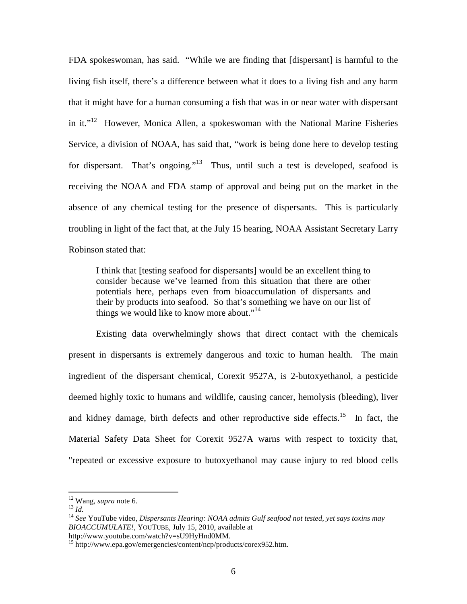FDA spokeswoman, has said. "While we are finding that [dispersant] is harmful to the living fish itself, there's a difference between what it does to a living fish and any harm that it might have for a human consuming a fish that was in or near water with dispersant in it. $12$  However, Monica Allen, a spokeswoman with the National Marine Fisheries Service, a division of NOAA, has said that, "work is being done here to develop testing for dispersant. That's ongoing."<sup>13</sup> Thus, until such a test is developed, seafood is receiving the NOAA and FDA stamp of approval and being put on the market in the absence of any chemical testing for the presence of dispersants. This is particularly troubling in light of the fact that, at the July 15 hearing, NOAA Assistant Secretary Larry Robinson stated that:

I think that [testing seafood for dispersants] would be an excellent thing to consider because we've learned from this situation that there are other potentials here, perhaps even from bioaccumulation of dispersants and their by products into seafood. So that's something we have on our list of things we would like to know more about."<sup>14</sup>

Existing data overwhelmingly shows that direct contact with the chemicals present in dispersants is extremely dangerous and toxic to human health. The main ingredient of the dispersant chemical, Corexit 9527A, is 2-butoxyethanol, a pesticide deemed highly toxic to humans and wildlife, causing cancer, hemolysis (bleeding), liver and kidney damage, birth defects and other reproductive side effects.<sup>15</sup> In fact, the Material Safety Data Sheet for Corexit 9527A warns with respect to toxicity that, "repeated or excessive exposure to butoxyethanol may cause injury to red blood cells

-

<sup>12</sup> Wang, *supra* note 6.

 $^{13}$  *Id.* 

<sup>14</sup> *See* YouTube video, *Dispersants Hearing: NOAA admits Gulf seafood not tested, yet says toxins may BIOACCUMULATE!*, YOUTUBE, July 15, 2010, available at http://www.youtube.com/watch?v=sU9HyHnd0MM.

<sup>&</sup>lt;sup>15</sup> http://www.epa.gov/emergencies/content/ncp/products/corex952.htm.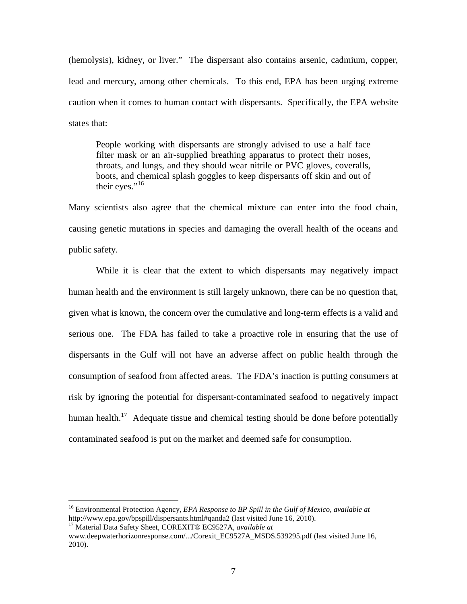(hemolysis), kidney, or liver." The dispersant also contains arsenic, cadmium, copper, lead and mercury, among other chemicals. To this end, EPA has been urging extreme caution when it comes to human contact with dispersants. Specifically, the EPA website states that:

People working with dispersants are strongly advised to use a half face filter mask or an air-supplied breathing apparatus to protect their noses, throats, and lungs, and they should wear nitrile or PVC gloves, coveralls, boots, and chemical splash goggles to keep dispersants off skin and out of their eyes." $16$ 

Many scientists also agree that the chemical mixture can enter into the food chain, causing genetic mutations in species and damaging the overall health of the oceans and public safety.

While it is clear that the extent to which dispersants may negatively impact human health and the environment is still largely unknown, there can be no question that, given what is known, the concern over the cumulative and long-term effects is a valid and serious one. The FDA has failed to take a proactive role in ensuring that the use of dispersants in the Gulf will not have an adverse affect on public health through the consumption of seafood from affected areas. The FDA's inaction is putting consumers at risk by ignoring the potential for dispersant-contaminated seafood to negatively impact human health. $17$  Adequate tissue and chemical testing should be done before potentially contaminated seafood is put on the market and deemed safe for consumption.

<sup>16</sup> Environmental Protection Agency, *EPA Response to BP Spill in the Gulf of Mexico*, *available at*  http://www.epa.gov/bpspill/dispersants.html#qanda2 (last visited June 16, 2010).

<sup>17</sup> Material Data Safety Sheet, COREXIT® EC9527A, *available at* 

www.deepwaterhorizonresponse.com/.../Corexit\_EC9527A\_MSDS.539295.pdf (last visited June 16, 2010).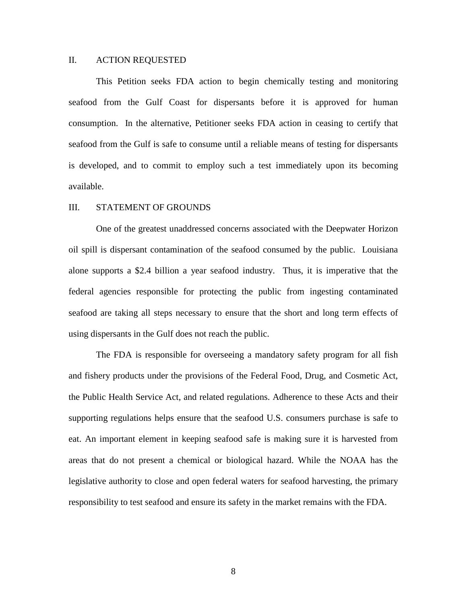## II. ACTION REQUESTED

This Petition seeks FDA action to begin chemically testing and monitoring seafood from the Gulf Coast for dispersants before it is approved for human consumption. In the alternative, Petitioner seeks FDA action in ceasing to certify that seafood from the Gulf is safe to consume until a reliable means of testing for dispersants is developed, and to commit to employ such a test immediately upon its becoming available.

#### III. STATEMENT OF GROUNDS

One of the greatest unaddressed concerns associated with the Deepwater Horizon oil spill is dispersant contamination of the seafood consumed by the public. Louisiana alone supports a \$2.4 billion a year seafood industry. Thus, it is imperative that the federal agencies responsible for protecting the public from ingesting contaminated seafood are taking all steps necessary to ensure that the short and long term effects of using dispersants in the Gulf does not reach the public.

The FDA is responsible for overseeing a mandatory safety program for all fish and fishery products under the provisions of the Federal Food, Drug, and Cosmetic Act, the Public Health Service Act, and related regulations. Adherence to these Acts and their supporting regulations helps ensure that the seafood U.S. consumers purchase is safe to eat. An important element in keeping seafood safe is making sure it is harvested from areas that do not present a chemical or biological hazard. While the NOAA has the legislative authority to close and open federal waters for seafood harvesting, the primary responsibility to test seafood and ensure its safety in the market remains with the FDA.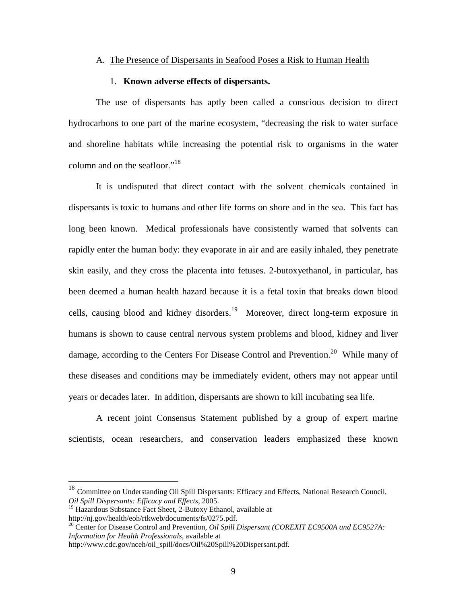#### A. The Presence of Dispersants in Seafood Poses a Risk to Human Health

### 1. **Known adverse effects of dispersants.**

The use of dispersants has aptly been called a conscious decision to direct hydrocarbons to one part of the marine ecosystem, "decreasing the risk to water surface and shoreline habitats while increasing the potential risk to organisms in the water column and on the seafloor."<sup>18</sup>

It is undisputed that direct contact with the solvent chemicals contained in dispersants is toxic to humans and other life forms on shore and in the sea. This fact has long been known. Medical professionals have consistently warned that solvents can rapidly enter the human body: they evaporate in air and are easily inhaled, they penetrate skin easily, and they cross the placenta into fetuses. 2-butoxyethanol, in particular, has been deemed a human health hazard because it is a fetal toxin that breaks down blood cells, causing blood and kidney disorders.<sup>19</sup> Moreover, direct long-term exposure in humans is shown to cause central nervous system problems and blood, kidney and liver damage, according to the Centers For Disease Control and Prevention.<sup>20</sup> While many of these diseases and conditions may be immediately evident, others may not appear until years or decades later. In addition, dispersants are shown to kill incubating sea life.

A recent joint Consensus Statement published by a group of expert marine scientists, ocean researchers, and conservation leaders emphasized these known

<sup>&</sup>lt;sup>18</sup> Committee on Understanding Oil Spill Dispersants: Efficacy and Effects, National Research Council, *Oil Spill Dispersants: Efficacy and Effects*, 2005.

<sup>&</sup>lt;sup>19</sup> Hazardous Substance Fact Sheet, 2-Butoxy Ethanol, available at http://nj.gov/health/eoh/rtkweb/documents/fs/0275.pdf.

<sup>&</sup>lt;sup>20</sup> Center for Disease Control and Prevention, *Oil Spill Dispersant (COREXIT EC9500A and EC9527A: Information for Health Professionals*, available at

http://www.cdc.gov/nceh/oil\_spill/docs/Oil%20Spill%20Dispersant.pdf.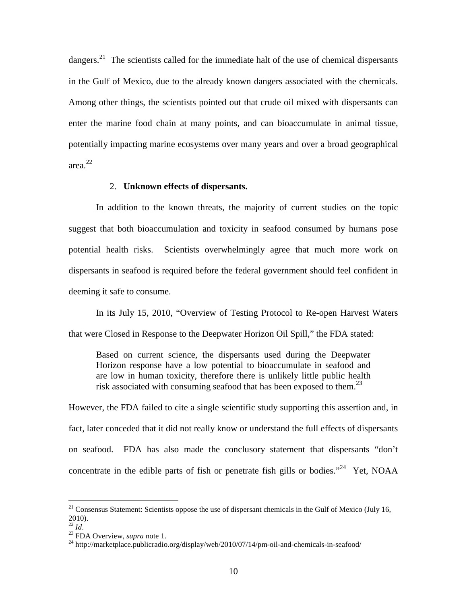dangers.<sup>21</sup> The scientists called for the immediate halt of the use of chemical dispersants in the Gulf of Mexico, due to the already known dangers associated with the chemicals. Among other things, the scientists pointed out that crude oil mixed with dispersants can enter the marine food chain at many points, and can bioaccumulate in animal tissue, potentially impacting marine ecosystems over many years and over a broad geographical area. 22

#### 2. **Unknown effects of dispersants.**

In addition to the known threats, the majority of current studies on the topic suggest that both bioaccumulation and toxicity in seafood consumed by humans pose potential health risks. Scientists overwhelmingly agree that much more work on dispersants in seafood is required before the federal government should feel confident in deeming it safe to consume.

In its July 15, 2010, "Overview of Testing Protocol to Re-open Harvest Waters that were Closed in Response to the Deepwater Horizon Oil Spill," the FDA stated:

Based on current science, the dispersants used during the Deepwater Horizon response have a low potential to bioaccumulate in seafood and are low in human toxicity, therefore there is unlikely little public health risk associated with consuming seafood that has been exposed to them. $^{23}$ 

However, the FDA failed to cite a single scientific study supporting this assertion and, in fact, later conceded that it did not really know or understand the full effects of dispersants on seafood. FDA has also made the conclusory statement that dispersants "don't concentrate in the edible parts of fish or penetrate fish gills or bodies."<sup>24</sup> Yet, NOAA

 $21$  Consensus Statement: Scientists oppose the use of dispersant chemicals in the Gulf of Mexico (July 16, 2010).

<sup>22</sup> *Id*.

<sup>23</sup> FDA Overview, *supra* note 1.

 $^{24}$  http://marketplace.publicradio.org/display/web/2010/07/14/pm-oil-and-chemicals-in-seafood/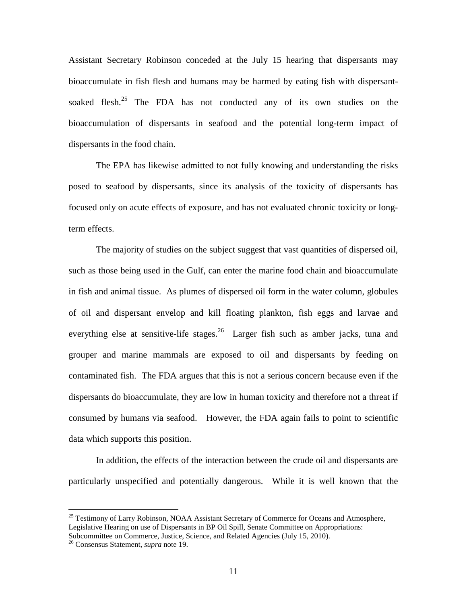Assistant Secretary Robinson conceded at the July 15 hearing that dispersants may bioaccumulate in fish flesh and humans may be harmed by eating fish with dispersantsoaked flesh.<sup>25</sup> The FDA has not conducted any of its own studies on the bioaccumulation of dispersants in seafood and the potential long-term impact of dispersants in the food chain.

The EPA has likewise admitted to not fully knowing and understanding the risks posed to seafood by dispersants, since its analysis of the toxicity of dispersants has focused only on acute effects of exposure, and has not evaluated chronic toxicity or longterm effects.

The majority of studies on the subject suggest that vast quantities of dispersed oil, such as those being used in the Gulf, can enter the marine food chain and bioaccumulate in fish and animal tissue. As plumes of dispersed oil form in the water column, globules of oil and dispersant envelop and kill floating plankton, fish eggs and larvae and everything else at sensitive-life stages.<sup>26</sup> Larger fish such as amber jacks, tuna and grouper and marine mammals are exposed to oil and dispersants by feeding on contaminated fish. The FDA argues that this is not a serious concern because even if the dispersants do bioaccumulate, they are low in human toxicity and therefore not a threat if consumed by humans via seafood. However, the FDA again fails to point to scientific data which supports this position.

In addition, the effects of the interaction between the crude oil and dispersants are particularly unspecified and potentially dangerous. While it is well known that the

<sup>&</sup>lt;sup>25</sup> Testimony of Larry Robinson, NOAA Assistant Secretary of Commerce for Oceans and Atmosphere, Legislative Hearing on use of Dispersants in BP Oil Spill, Senate Committee on Appropriations: Subcommittee on Commerce, Justice, Science, and Related Agencies (July 15, 2010).

<sup>26</sup> Consensus Statement, *supra* note 19.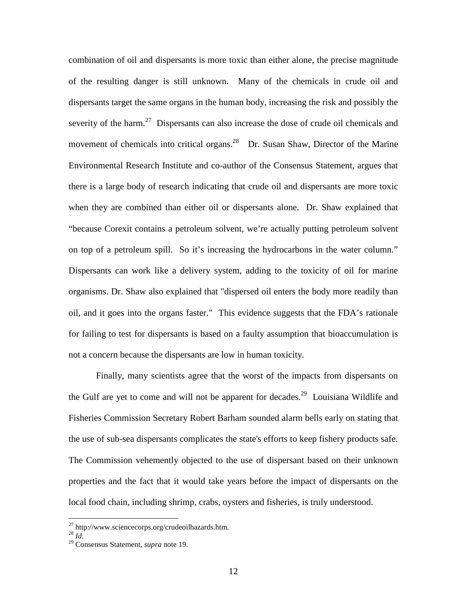combination of oil and dispersants is more toxic than either alone, the precise magnitude of the resulting danger is still unknown. Many of the chemicals in crude oil and dispersants target the same organs in the human body, increasing the risk and possibly the severity of the harm.<sup>27</sup> Dispersants can also increase the dose of crude oil chemicals and movement of chemicals into critical organs.<sup>28</sup> Dr. Susan Shaw, Director of the Marine Environmental Research Institute and co-author of the Consensus Statement, argues that there is a large body of research indicating that crude oil and dispersants are more toxic when they are combined than either oil or dispersants alone. Dr. Shaw explained that "because Corexit contains a petroleum solvent, we're actually putting petroleum solvent on top of a petroleum spill. So it's increasing the hydrocarbons in the water column." Dispersants can work like a delivery system, adding to the toxicity of oil for marine organisms. Dr. Shaw also explained that "dispersed oil enters the body more readily than oil, and it goes into the organs faster." This evidence suggests that the FDA's rationale for failing to test for dispersants is based on a faulty assumption that bioaccumulation is not a concern because the dispersants are low in human toxicity.

Finally, many scientists agree that the worst of the impacts from dispersants on the Gulf are yet to come and will not be apparent for decades.<sup>29</sup> Louisiana Wildlife and Fisheries Commission Secretary Robert Barham sounded alarm bells early on stating that the use of sub-sea dispersants complicates the state's efforts to keep fishery products safe. The Commission vehemently objected to the use of dispersant based on their unknown properties and the fact that it would take years before the impact of dispersants on the local food chain, including shrimp, crabs, oysters and fisheries, is truly understood.

<sup>&</sup>lt;sup>27</sup> http://www.sciencecorps.org/crudeoilhazards.htm.

 $^{28}$  *Id*.

<sup>29</sup> Consensus Statement, *supra* note 19.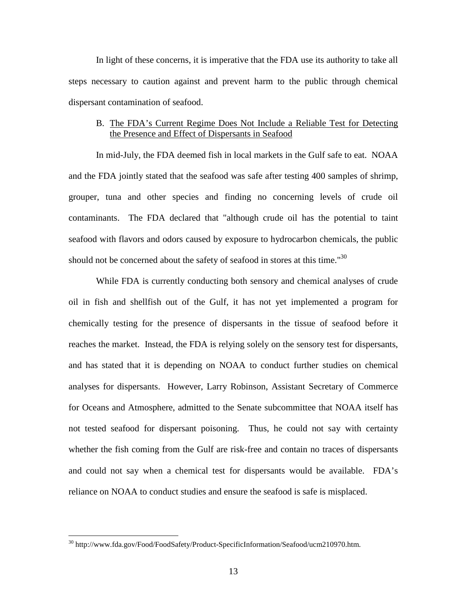In light of these concerns, it is imperative that the FDA use its authority to take all steps necessary to caution against and prevent harm to the public through chemical dispersant contamination of seafood.

# B. The FDA's Current Regime Does Not Include a Reliable Test for Detecting the Presence and Effect of Dispersants in Seafood

In mid-July, the FDA deemed fish in local markets in the Gulf safe to eat. NOAA and the FDA jointly stated that the seafood was safe after testing 400 samples of shrimp, grouper, tuna and other species and finding no concerning levels of crude oil contaminants. The FDA declared that "although crude oil has the potential to taint seafood with flavors and odors caused by exposure to hydrocarbon chemicals, the public should not be concerned about the safety of seafood in stores at this time."<sup>30</sup>

While FDA is currently conducting both sensory and chemical analyses of crude oil in fish and shellfish out of the Gulf, it has not yet implemented a program for chemically testing for the presence of dispersants in the tissue of seafood before it reaches the market. Instead, the FDA is relying solely on the sensory test for dispersants, and has stated that it is depending on NOAA to conduct further studies on chemical analyses for dispersants. However, Larry Robinson, Assistant Secretary of Commerce for Oceans and Atmosphere, admitted to the Senate subcommittee that NOAA itself has not tested seafood for dispersant poisoning. Thus, he could not say with certainty whether the fish coming from the Gulf are risk-free and contain no traces of dispersants and could not say when a chemical test for dispersants would be available. FDA's reliance on NOAA to conduct studies and ensure the seafood is safe is misplaced.

<sup>30</sup> http://www.fda.gov/Food/FoodSafety/Product-SpecificInformation/Seafood/ucm210970.htm.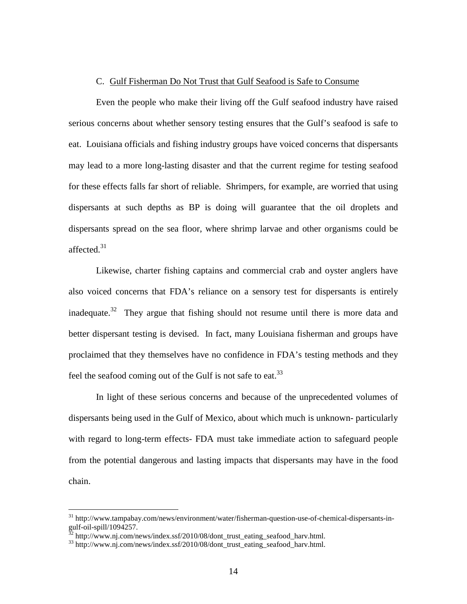#### C. Gulf Fisherman Do Not Trust that Gulf Seafood is Safe to Consume

Even the people who make their living off the Gulf seafood industry have raised serious concerns about whether sensory testing ensures that the Gulf's seafood is safe to eat. Louisiana officials and fishing industry groups have voiced concerns that dispersants may lead to a more long-lasting disaster and that the current regime for testing seafood for these effects falls far short of reliable. Shrimpers, for example, are worried that using dispersants at such depths as BP is doing will guarantee that the oil droplets and dispersants spread on the sea floor, where shrimp larvae and other organisms could be affected. $31$ 

Likewise, charter fishing captains and commercial crab and oyster anglers have also voiced concerns that FDA's reliance on a sensory test for dispersants is entirely inadequate.<sup>32</sup> They argue that fishing should not resume until there is more data and better dispersant testing is devised. In fact, many Louisiana fisherman and groups have proclaimed that they themselves have no confidence in FDA's testing methods and they feel the seafood coming out of the Gulf is not safe to eat.<sup>33</sup>

In light of these serious concerns and because of the unprecedented volumes of dispersants being used in the Gulf of Mexico, about which much is unknown- particularly with regard to long-term effects- FDA must take immediate action to safeguard people from the potential dangerous and lasting impacts that dispersants may have in the food chain.

<sup>&</sup>lt;sup>31</sup> http://www.tampabay.com/news/environment/water/fisherman-question-use-of-chemical-dispersants-ingulf-oil-spill/1094257.

 $32$  http://www.nj.com/news/index.ssf/2010/08/dont\_trust\_eating\_seafood\_harv.html.

<sup>&</sup>lt;sup>33</sup> http://www.nj.com/news/index.ssf/2010/08/dont\_trust\_eating\_seafood\_harv.html.